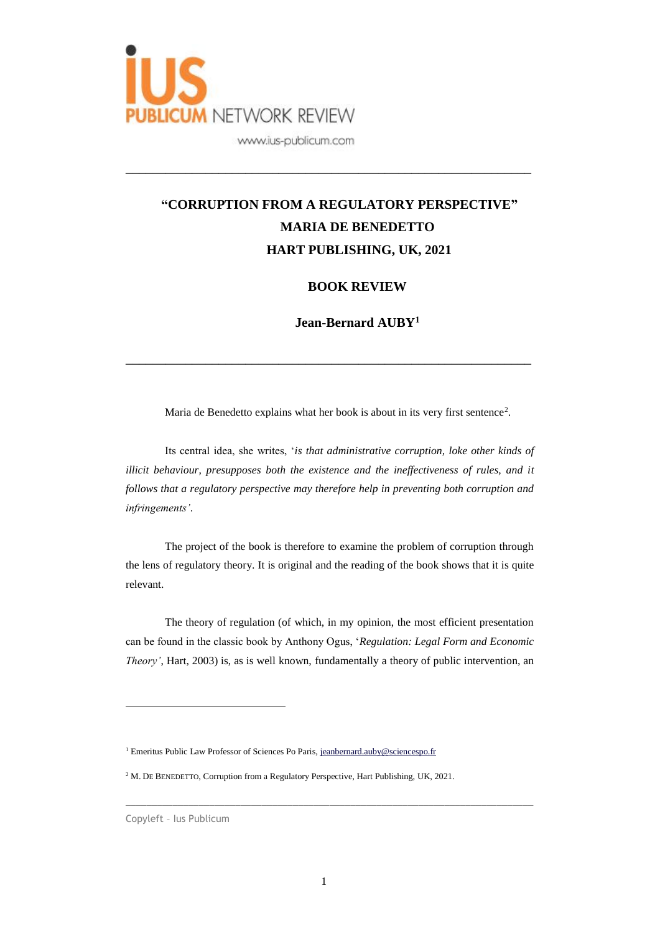

## **"CORRUPTION FROM A REGULATORY PERSPECTIVE" MARIA DE BENEDETTO HART PUBLISHING, UK, 2021**

\_\_\_\_\_\_\_\_\_\_\_\_\_\_\_\_\_\_\_\_\_\_\_\_\_\_\_\_\_\_\_\_\_\_\_\_\_\_\_\_\_\_\_\_\_\_\_\_\_\_\_\_\_\_\_\_\_\_\_\_\_

## **BOOK REVIEW**

**Jean-Bernard AUBY<sup>1</sup>**

Maria de Benedetto explains what her book is about in its very first sentence<sup>2</sup>.

\_\_\_\_\_\_\_\_\_\_\_\_\_\_\_\_\_\_\_\_\_\_\_\_\_\_\_\_\_\_\_\_\_\_\_\_\_\_\_\_\_\_\_\_\_\_\_\_\_\_\_\_\_\_\_\_\_\_\_\_\_

Its central idea, she writes, '*is that administrative corruption, loke other kinds of illicit behaviour, presupposes both the existence and the ineffectiveness of rules, and it follows that a regulatory perspective may therefore help in preventing both corruption and infringements'*.

The project of the book is therefore to examine the problem of corruption through the lens of regulatory theory. It is original and the reading of the book shows that it is quite relevant.

The theory of regulation (of which, in my opinion, the most efficient presentation can be found in the classic book by Anthony Ogus, '*Regulation: Legal Form and Economic Theory'*, Hart, 2003) is, as is well known, fundamentally a theory of public intervention, an

 $\overline{a}$ 

<sup>&</sup>lt;sup>1</sup> Emeritus Public Law Professor of Sciences Po Paris, [jeanbernard.auby@sciencespo.fr](mailto:jeanbernard.auby@sciencespo.fr)

<sup>&</sup>lt;sup>2</sup> M. DE BENEDETTO, Corruption from a Regulatory Perspective, Hart Publishing, UK, 2021.

Copyleft – Ius Publicum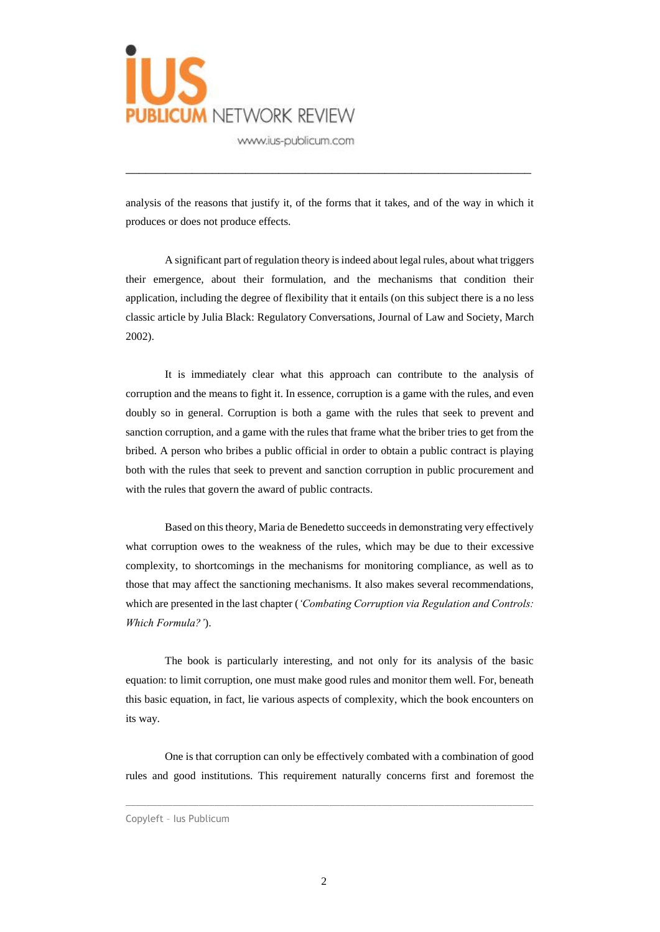

www.ius-publicum.com

analysis of the reasons that justify it, of the forms that it takes, and of the way in which it produces or does not produce effects.

\_\_\_\_\_\_\_\_\_\_\_\_\_\_\_\_\_\_\_\_\_\_\_\_\_\_\_\_\_\_\_\_\_\_\_\_\_\_\_\_\_\_\_\_\_\_\_\_\_\_\_\_\_\_\_\_\_\_\_\_\_

A significant part of regulation theory is indeed about legal rules, about what triggers their emergence, about their formulation, and the mechanisms that condition their application, including the degree of flexibility that it entails (on this subject there is a no less classic article by Julia Black: Regulatory Conversations, Journal of Law and Society, March 2002).

It is immediately clear what this approach can contribute to the analysis of corruption and the means to fight it. In essence, corruption is a game with the rules, and even doubly so in general. Corruption is both a game with the rules that seek to prevent and sanction corruption, and a game with the rules that frame what the briber tries to get from the bribed. A person who bribes a public official in order to obtain a public contract is playing both with the rules that seek to prevent and sanction corruption in public procurement and with the rules that govern the award of public contracts.

Based on this theory, Maria de Benedetto succeeds in demonstrating very effectively what corruption owes to the weakness of the rules, which may be due to their excessive complexity, to shortcomings in the mechanisms for monitoring compliance, as well as to those that may affect the sanctioning mechanisms. It also makes several recommendations, which are presented in the last chapter (*'Combating Corruption via Regulation and Controls: Which Formula?'*).

The book is particularly interesting, and not only for its analysis of the basic equation: to limit corruption, one must make good rules and monitor them well. For, beneath this basic equation, in fact, lie various aspects of complexity, which the book encounters on its way.

One is that corruption can only be effectively combated with a combination of good rules and good institutions. This requirement naturally concerns first and foremost the

Copyleft – Ius Publicum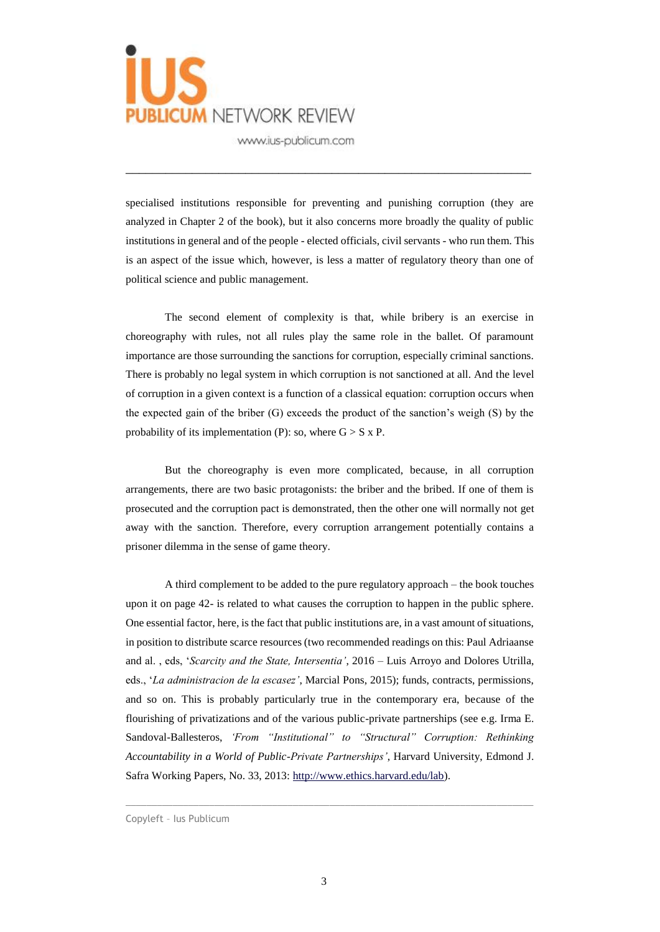

www.ius-publicum.com

specialised institutions responsible for preventing and punishing corruption (they are analyzed in Chapter 2 of the book), but it also concerns more broadly the quality of public institutions in general and of the people - elected officials, civil servants - who run them. This is an aspect of the issue which, however, is less a matter of regulatory theory than one of political science and public management.

\_\_\_\_\_\_\_\_\_\_\_\_\_\_\_\_\_\_\_\_\_\_\_\_\_\_\_\_\_\_\_\_\_\_\_\_\_\_\_\_\_\_\_\_\_\_\_\_\_\_\_\_\_\_\_\_\_\_\_\_\_

The second element of complexity is that, while bribery is an exercise in choreography with rules, not all rules play the same role in the ballet. Of paramount importance are those surrounding the sanctions for corruption, especially criminal sanctions. There is probably no legal system in which corruption is not sanctioned at all. And the level of corruption in a given context is a function of a classical equation: corruption occurs when the expected gain of the briber (G) exceeds the product of the sanction's weigh (S) by the probability of its implementation (P): so, where  $G > S \times P$ .

But the choreography is even more complicated, because, in all corruption arrangements, there are two basic protagonists: the briber and the bribed. If one of them is prosecuted and the corruption pact is demonstrated, then the other one will normally not get away with the sanction. Therefore, every corruption arrangement potentially contains a prisoner dilemma in the sense of game theory.

A third complement to be added to the pure regulatory approach – the book touches upon it on page 42- is related to what causes the corruption to happen in the public sphere. One essential factor, here, is the fact that public institutions are, in a vast amount of situations, in position to distribute scarce resources (two recommended readings on this: Paul Adriaanse and al. , eds, '*Scarcity and the State, Intersentia'*, 2016 – Luis Arroyo and Dolores Utrilla, eds., '*La administracion de la escasez'*, Marcial Pons, 2015); funds, contracts, permissions, and so on. This is probably particularly true in the contemporary era, because of the flourishing of privatizations and of the various public-private partnerships (see e.g. Irma E. Sandoval-Ballesteros, *'From "Institutional" to "Structural" Corruption: Rethinking Accountability in a World of Public-Private Partnerships'*, Harvard University, Edmond J. Safra Working Papers, No. 33, 2013: [http://www.ethics.harvard.edu/lab\)](http://www.ethics.harvard.edu/lab).

Copyleft – Ius Publicum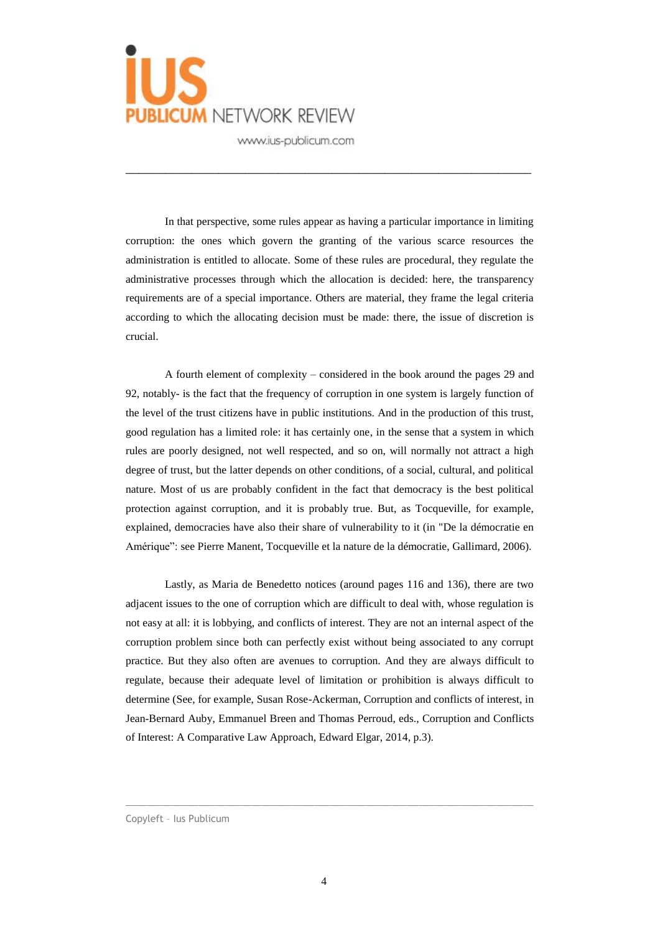

www.ius-publicum.com

In that perspective, some rules appear as having a particular importance in limiting corruption: the ones which govern the granting of the various scarce resources the administration is entitled to allocate. Some of these rules are procedural, they regulate the administrative processes through which the allocation is decided: here, the transparency requirements are of a special importance. Others are material, they frame the legal criteria according to which the allocating decision must be made: there, the issue of discretion is crucial.

\_\_\_\_\_\_\_\_\_\_\_\_\_\_\_\_\_\_\_\_\_\_\_\_\_\_\_\_\_\_\_\_\_\_\_\_\_\_\_\_\_\_\_\_\_\_\_\_\_\_\_\_\_\_\_\_\_\_\_\_\_

A fourth element of complexity – considered in the book around the pages 29 and 92, notably- is the fact that the frequency of corruption in one system is largely function of the level of the trust citizens have in public institutions. And in the production of this trust, good regulation has a limited role: it has certainly one, in the sense that a system in which rules are poorly designed, not well respected, and so on, will normally not attract a high degree of trust, but the latter depends on other conditions, of a social, cultural, and political nature. Most of us are probably confident in the fact that democracy is the best political protection against corruption, and it is probably true. But, as Tocqueville, for example, explained, democracies have also their share of vulnerability to it (in "De la démocratie en Amérique": see Pierre Manent, Tocqueville et la nature de la démocratie, Gallimard, 2006).

Lastly, as Maria de Benedetto notices (around pages 116 and 136), there are two adjacent issues to the one of corruption which are difficult to deal with, whose regulation is not easy at all: it is lobbying, and conflicts of interest. They are not an internal aspect of the corruption problem since both can perfectly exist without being associated to any corrupt practice. But they also often are avenues to corruption. And they are always difficult to regulate, because their adequate level of limitation or prohibition is always difficult to determine (See, for example, Susan Rose-Ackerman, Corruption and conflicts of interest, in Jean-Bernard Auby, Emmanuel Breen and Thomas Perroud, eds., Corruption and Conflicts of Interest: A Comparative Law Approach, Edward Elgar, 2014, p.3).

Copyleft – Ius Publicum